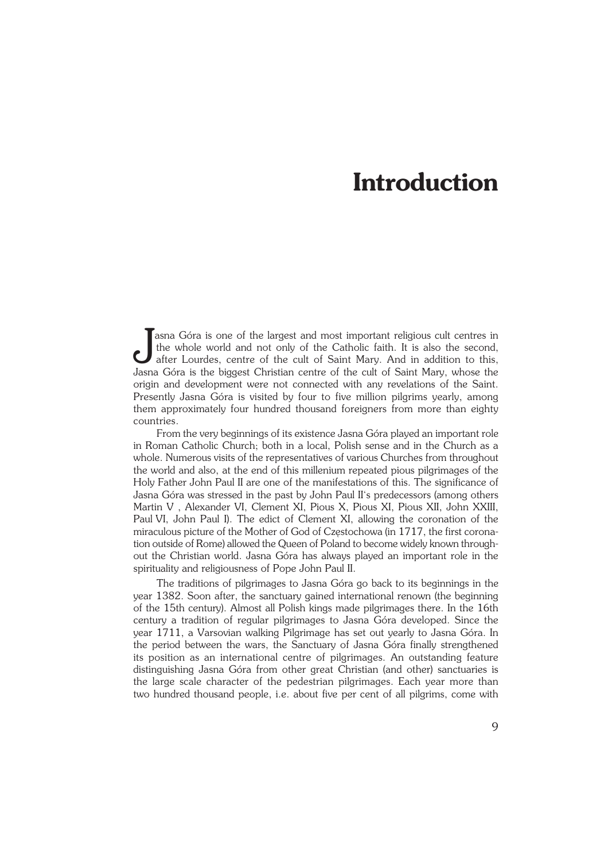## **Introduction**

Jasna Góra is one of the largest and most important religious cult centres in the whole world and not only of the Catholic faith. It is also the second, after Lourdes, centre of the cult of Saint Mary. And in addition to t Tasna Góra is one of the largest and most important religious cult centres in the whole world and not only of the Catholic faith. It is also the second, after Lourdes, centre of the cult of Saint Mary. And in addition to this, origin and development were not connected with any revelations of the Saint. Presently Jasna Góra is visited by four to five million pilgrims yearly, among them approximately four hundred thousand foreigners from more than eighty countries.

From the very beginnings of its existence Jasna Góra played an important role in Roman Catholic Church; both in a local, Polish sense and in the Church as a whole. Numerous visits of the representatives of various Churches from throughout the world and also, at the end of this millenium repeated pious pilgrimages of the Holy Father John Paul II are one of the manifestations of this. The significance of Jasna Góra was stressed in the past by John Paul II's predecessors (among others Martin V , Alexander VI, Clement XI, Pious X, Pious XI, Pious XII, John XXIII, PaulVI, John Paul I). The edict of Clement XI, allowing the coronation of the miraculous picture of the Mother of God of Częstochowa (in 1717, the first corona− tion outside of Rome) allowed the Queen of Poland to become widely known through− out the Christian world. Jasna Góra has always played an important role in the spirituality and religiousness of Pope John Paul II.

The traditions of pilgrimages to Jasna Góra go back to its beginnings in the year 1382. Soon after, the sanctuary gained international renown (the beginning of the 15th century). Almost all Polish kings made pilgrimages there. In the 16th century a tradition of regular pilgrimages to Jasna Góra developed. Since the year 1711, a Varsovian walking Pilgrimage has set out yearly to Jasna Góra. In the period between the wars, the Sanctuary of Jasna Góra finally strengthened its position as an international centre of pilgrimages. An outstanding feature distinguishing Jasna Góra from other great Christian (and other) sanctuaries is the large scale character of the pedestrian pilgrimages. Each year more than two hundred thousand people, i.e. about five per cent of all pilgrims, come with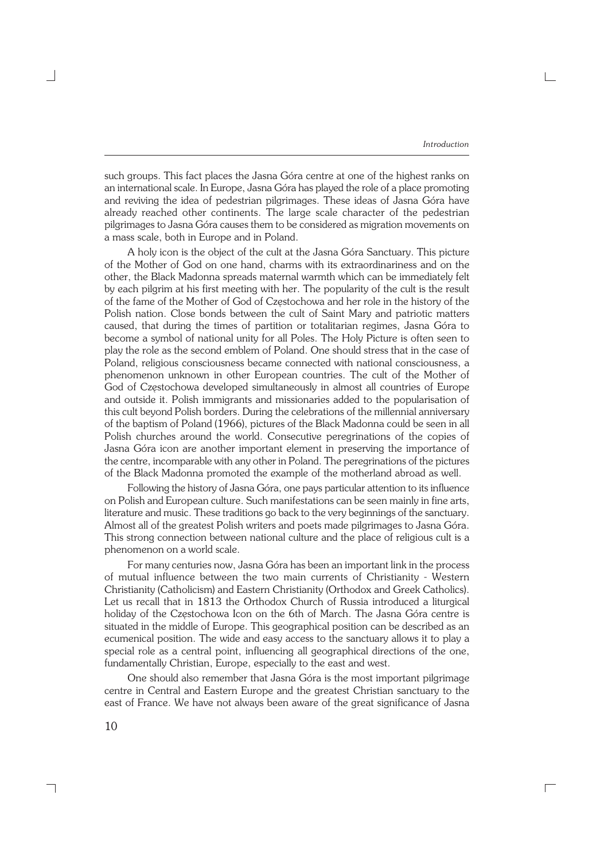*Introduction*

 $\Gamma$ 

such groups. This fact places the Jasna Góra centre at one of the highest ranks on an international scale. In Europe, Jasna Góra has played the role of a place promoting and reviving the idea of pedestrian pilgrimages. These ideas of Jasna Góra have already reached other continents. The large scale character of the pedestrian pilgrimages to Jasna Góra causes them to be considered as migration movements on a mass scale, both in Europe and in Poland.

A holy icon is the object of the cult at the Jasna Góra Sanctuary. This picture of the Mother of God on one hand, charms with its extraordinariness and on the other, the Black Madonna spreads maternal warmth which can be immediately felt by each pilgrim at his first meeting with her. The popularity of the cult is the result of the fame of the Mother of God of Częstochowa and her role in the history of the Polish nation. Close bonds between the cult of Saint Mary and patriotic matters caused, that during the times of partition or totalitarian regimes, Jasna Góra to become a symbol of national unity for all Poles. The Holy Picture is often seen to play the role as the second emblem of Poland. One should stress that in the case of Poland, religious consciousness became connected with national consciousness, a phenomenon unknown in other European countries. The cult of the Mother of God of Częstochowa developed simultaneously in almost all countries of Europe and outside it. Polish immigrants and missionaries added to the popularisation of this cult beyond Polish borders. During the celebrations of the millennial anniversary of the baptism of Poland (1966), pictures of the Black Madonna could be seen in all Polish churches around the world. Consecutive peregrinations of the copies of Jasna Góra icon are another important element in preserving the importance of the centre, incomparable with any other in Poland. The peregrinations of the pictures of the Black Madonna promoted the example of the motherland abroad as well.

Following the history of Jasna Góra, one pays particular attention to its influence on Polish and European culture. Such manifestations can be seen mainly in fine arts, literature and music. These traditions go back to the very beginnings of the sanctuary. Almost all of the greatest Polish writers and poets made pilgrimages to Jasna Góra. This strong connection between national culture and the place of religious cult is a phenomenon on a world scale.

For many centuries now, Jasna Góra has been an important link in the process of mutual influence between the two main currents of Christianity − Western Christianity (Catholicism) and Eastern Christianity (Orthodox and Greek Catholics). Let us recall that in 1813 the Orthodox Church of Russia introduced a liturgical holiday of the Częstochowa Icon on the 6th of March. The Jasna Góra centre is situated in the middle of Europe. This geographical position can be described as an ecumenical position. The wide and easy access to the sanctuary allows it to play a special role as a central point, influencing all geographical directions of the one, fundamentally Christian, Europe, especially to the east and west.

One should also remember that Jasna Góra is the most important pilgrimage centre in Central and Eastern Europe and the greatest Christian sanctuary to the east of France. We have not always been aware of the great significance of Jasna

┑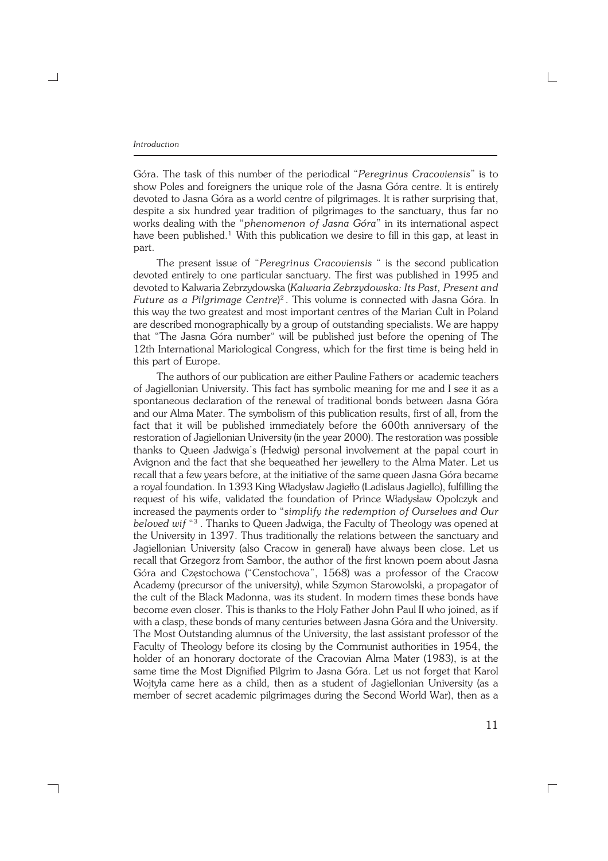## *Introduction*

┐

Góra. The task of this number of the periodical "*Peregrinus Cracoviensis*" is to show Poles and foreigners the unique role of the Jasna Góra centre. It is entirely devoted to Jasna Góra as a world centre of pilgrimages. It is rather surprising that, despite a six hundred year tradition of pilgrimages to the sanctuary, thus far no works dealing with the "*phenomenon of Jasna Góra*" in its international aspect have been published.<sup>1</sup> With this publication we desire to fill in this gap, at least in part.

The present issue of "*Peregrinus Cracoviensis* " is the second publication devoted entirely to one particular sanctuary. The first was published in 1995 and devoted to Kalwaria Zebrzydowska (*Kalwaria Zebrzydowska: Its Past, Present and Future as a Pilgrimage Centre*) 2 . This volume is connected with Jasna Góra. In this way the two greatest and most important centres of the Marian Cult in Poland are described monographically by a group of outstanding specialists. We are happy that "The Jasna Góra number" will be published just before the opening of The 12th International Mariological Congress, which for the first time is being held in this part of Europe.

The authors of our publication are either Pauline Fathers or academic teachers of Jagiellonian University. This fact has symbolic meaning for me and I see it as a spontaneous declaration of the renewal of traditional bonds between Jasna Góra and our Alma Mater. The symbolism of this publication results, first of all, from the fact that it will be published immediately before the 600th anniversary of the restoration of Jagiellonian University (in the year 2000). The restoration was possible thanks to Queen Jadwiga's (Hedwig) personal involvement at the papal court in Avignon and the fact that she bequeathed her jewellery to the Alma Mater. Let us recall that a few years before, at the initiative of the same queen Jasna Góra became a royal foundation. In 1393 King Władysław Jagiełło (Ladislaus Jagiello), fulfilling the request of his wife, validated the foundation of Prince Władysław Opolczyk and increased the payments order to "*simplify the redemption of Ourselves and Our beloved wif* " 3 . Thanks to Queen Jadwiga, the Faculty of Theology was opened at the University in 1397. Thus traditionally the relations between the sanctuary and Jagiellonian University (also Cracow in general) have always been close. Let us recall that Grzegorz from Sambor, the author of the first known poem about Jasna Góra and Częstochowa ("Censtochova", 1568) was a professor of the Cracow Academy (precursor of the university), while Szymon Starowolski, a propagator of the cult of the Black Madonna, was its student. In modern times these bonds have become even closer. This is thanks to the Holy Father John Paul II who joined, as if with a clasp, these bonds of many centuries between Jasna Góra and the University. The Most Outstanding alumnus of the University, the last assistant professor of the Faculty of Theology before its closing by the Communist authorities in 1954, the holder of an honorary doctorate of the Cracovian Alma Mater (1983), is at the same time the Most Dignified Pilgrim to Jasna Góra. Let us not forget that Karol Wojtyła came here as a child*,* then as a student of Jagiellonian University (as a member of secret academic pilgrimages during the Second World War), then as a

 $\Box$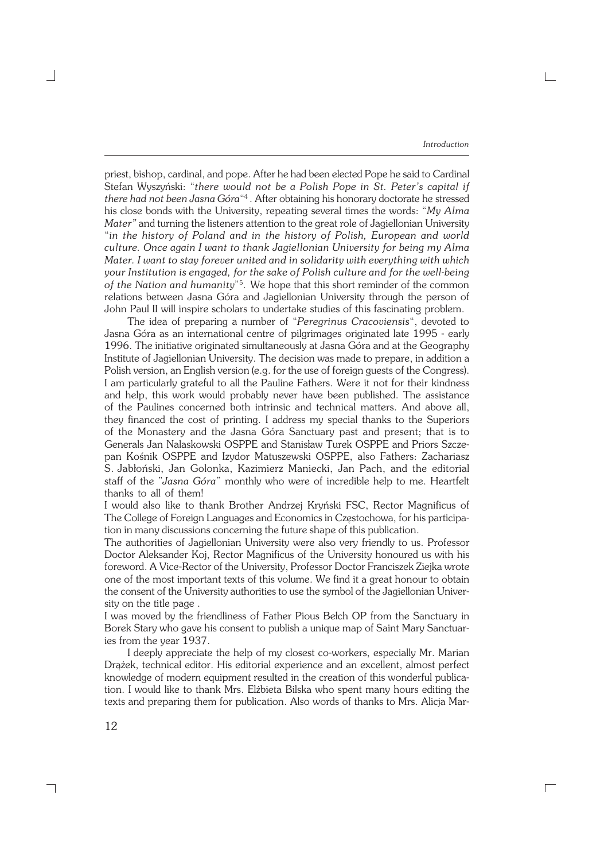$\Box$ 

priest, bishop, cardinal, and pope. After he had been elected Pope he said to Cardinal Stefan Wyszyński: "*there would not be a Polish Pope in St. Peter's capital if there had not been Jasna Góra*" 4 . After obtaining his honorary doctorate he stressed his close bonds with the University, repeating several times the words: "*My Alma Mater"* and turning the listeners attention to the great role of Jagiellonian University "*in the history of Poland and in the history of Polish, European and world culture. Once again I want to thank Jagiellonian University for being my Alma Mater. I want to stay forever united and in solidarity with everything with which your Institution is engaged, for the sake of Polish culture and for the well−being of the Nation and humanity*" 5 . We hope that this short reminder of the common relations between Jasna Góra and Jagiellonian University through the person of John Paul II will inspire scholars to undertake studies of this fascinating problem.

The idea of preparing a number of "*Peregrinus Cracoviensis*", devoted to Jasna Góra as an international centre of pilgrimages originated late 1995 − early 1996. The initiative originated simultaneously at Jasna Góra and at the Geography Institute of Jagiellonian University. The decision was made to prepare, in addition a Polish version, an English version (e.g. for the use of foreign guests of the Congress). I am particularly grateful to all the Pauline Fathers. Were it not for their kindness and help, this work would probably never have been published. The assistance of the Paulines concerned both intrinsic and technical matters. And above all, they financed the cost of printing. I address my special thanks to the Superiors of the Monastery and the Jasna Góra Sanctuary past and present; that is to Generals Jan Nalaskowski OSPPE and Stanisław Turek OSPPE and Priors Szcze− pan Kośnik OSPPE and Izydor Matuszewski OSPPE, also Fathers: Zachariasz S.Jabłoński, Jan Golonka, Kazimierz Maniecki, Jan Pach, and the editorial staff of the "*Jasna Góra*" monthly who were of incredible help to me. Heartfelt thanks to all of them!

I would also like to thank Brother Andrzej Kryński FSC, Rector Magnificus of The College of Foreign Languages and Economics in Częstochowa, for his participa− tion in many discussions concerning the future shape of this publication.

The authorities of Jagiellonian University were also very friendly to us. Professor Doctor Aleksander Koj, Rector Magnificus of the University honoured us with his foreword. A Vice−Rector of the University, Professor Doctor Franciszek Ziejka wrote one of the most important texts of this volume. We find it a great honour to obtain the consent of the University authorities to use the symbol of the Jagiellonian Univer− sity on the title page .

I was moved by the friendliness of Father Pious Bełch OP from the Sanctuary in Borek Stary who gave his consent to publish a unique map of Saint Mary Sanctuar− ies from the year 1937.

I deeply appreciate the help of my closest co−workers, especially Mr. Marian Drążek, technical editor. His editorial experience and an excellent, almost perfect knowledge of modern equipment resulted in the creation of this wonderful publica− tion. I would like to thank Mrs. Elżbieta Bilska who spent many hours editing the texts and preparing them for publication. Also words of thanks to Mrs. Alicja Mar−

┑